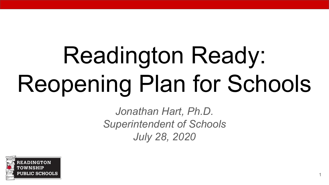# Readington Ready: Reopening Plan for Schools

*Jonathan Hart, Ph.D. Superintendent of Schools July 28, 2020*

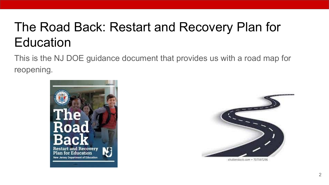## The Road Back: Restart and Recovery Plan for **Education**

This is the NJ DOE guidance document that provides us with a road map for reopening.





shutterstock.com . 707597296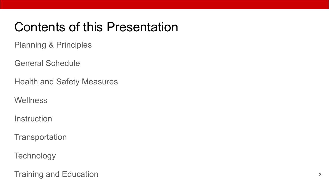#### Contents of this Presentation

Planning & Principles

General Schedule

Health and Safety Measures

**Wellness** 

**Instruction** 

**Transportation** 

**Technology** 

Training and Education 3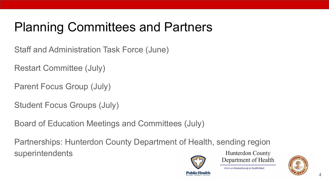## Planning Committees and Partners

Staff and Administration Task Force (June)

Restart Committee (July)

Parent Focus Group (July)

Student Focus Groups (July)

Board of Education Meetings and Committees (July)

Partnerships: Hunterdon County Department of Health, sending region superintendents



**Hunterdon County** Department of Health

www.co.hunterdon.ni.us/health.html

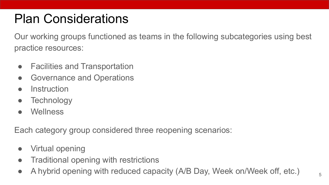#### Plan Considerations

Our working groups functioned as teams in the following subcategories using best practice resources:

- Facilities and Transportation
- Governance and Operations
- Instruction
- Technology
- Wellness

Each category group considered three reopening scenarios:

- Virtual opening
- Traditional opening with restrictions
- A hybrid opening with reduced capacity (A/B Day, Week on/Week off, etc.)  $\frac{1}{5}$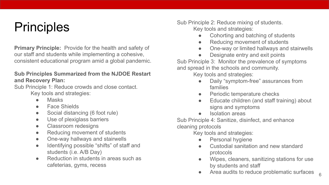#### **Principles**

**Primary Principle:** Provide for the health and safety of our staff and students while implementing a cohesive, consistent educational program amid a global pandemic.

#### **Sub Principles Summarized from the NJDOE Restart and Recovery Plan:**

Sub Principle 1: Reduce crowds and close contact. Key tools and strategies:

- Masks
- **Face Shields**
- Social distancing (6 foot rule)
- Use of plexiglass barriers
- Classroom redesigns
- Reducing movement of students
- One-way hallways and stairwells
- Identifying possible "shifts" of staff and students (i.e. A/B Day)
- **Reduction in students in areas such as** cafeterias, gyms, recess

Sub Principle 2: Reduce mixing of students. Key tools and strategies:

- Cohorting and batching of students
- Reducing movement of students
- One-way or limited hallways and stairwells
- Designate entry and exit points

Sub Principle 3: Monitor the prevalence of symptoms and spread in the schools and community.

Key tools and strategies:

- Daily "symptom-free" assurances from families
- Periodic temperature checks
- Educate children (and staff training) about signs and symptoms
- Isolation areas

Sub Principle 4: Sanitize, disinfect, and enhance cleaning protocols

Key tools and strategies:

- Personal hygiene
- Custodial sanitation and new standard protocols
- Wipes, cleaners, sanitizing stations for use by students and staff
- Area audits to reduce problematic surfaces 6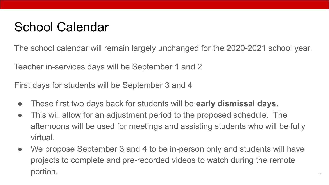#### School Calendar

The school calendar will remain largely unchanged for the 2020-2021 school year.

Teacher in-services days will be September 1 and 2

First days for students will be September 3 and 4

- These first two days back for students will be **early dismissal days.**
- This will allow for an adjustment period to the proposed schedule. The afternoons will be used for meetings and assisting students who will be fully virtual.
- We propose September 3 and 4 to be in-person only and students will have projects to complete and pre-recorded videos to watch during the remote portion.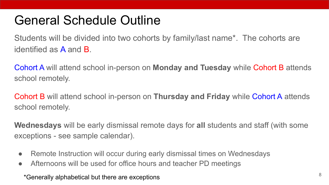#### General Schedule Outline

Students will be divided into two cohorts by family/last name\*. The cohorts are identified as A and B.

Cohort A will attend school in-person on **Monday and Tuesday** while Cohort B attends school remotely.

Cohort B will attend school in-person on **Thursday and Friday** while Cohort A attends school remotely.

**Wednesdays** will be early dismissal remote days for **all** students and staff (with some exceptions - see sample calendar).

- Remote Instruction will occur during early dismissal times on Wednesdays
- Afternoons will be used for office hours and teacher PD meetings

\*Generally alphabetical but there are exceptions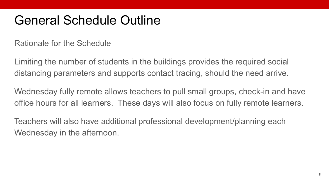#### General Schedule Outline

Rationale for the Schedule

Limiting the number of students in the buildings provides the required social distancing parameters and supports contact tracing, should the need arrive.

Wednesday fully remote allows teachers to pull small groups, check-in and have office hours for all learners. These days will also focus on fully remote learners.

Teachers will also have additional professional development/planning each Wednesday in the afternoon.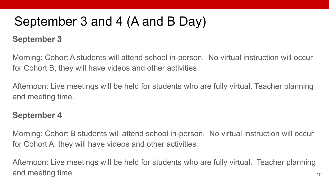## September 3 and 4 (A and B Day)

#### **September 3**

Morning: Cohort A students will attend school in-person. No virtual instruction will occur for Cohort B, they will have videos and other activities

Afternoon: Live meetings will be held for students who are fully virtual. Teacher planning and meeting time.

#### **September 4**

Morning: Cohort B students will attend school in-person. No virtual instruction will occur for Cohort A, they will have videos and other activities

Afternoon: Live meetings will be held for students who are fully virtual. Teacher planning and meeting time. The same state of the same state of the same state  $\frac{10}{10}$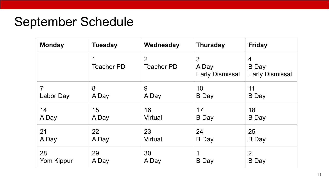#### September Schedule

| <b>Monday</b>  | <b>Tuesday</b>         | Wednesday              | <b>Thursday</b>                      | <b>Friday</b>                               |
|----------------|------------------------|------------------------|--------------------------------------|---------------------------------------------|
|                | 1<br><b>Teacher PD</b> | 2<br><b>Teacher PD</b> | 3<br>A Day<br><b>Early Dismissal</b> | 4<br><b>B</b> Day<br><b>Early Dismissal</b> |
| $\overline{7}$ | 8                      | 9                      | 10                                   | 11                                          |
| Labor Day      | A Day                  | A Day                  | <b>B</b> Day                         | <b>B</b> Day                                |
| 14             | 15                     | 16                     | 17                                   | 18                                          |
| A Day          | A Day                  | Virtual                | <b>B</b> Day                         | B Day                                       |
| 21             | 22                     | 23                     | 24                                   | 25                                          |
| A Day          | A Day                  | Virtual                | B Day                                | B Day                                       |
| 28             | 29                     | 30                     | 1                                    | $\overline{2}$                              |
| Yom Kippur     | A Day                  | A Day                  | <b>B</b> Day                         | <b>B</b> Day                                |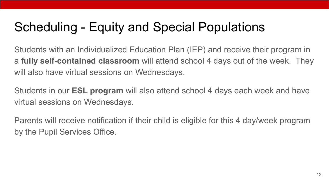## Scheduling - Equity and Special Populations

Students with an Individualized Education Plan (IEP) and receive their program in a **fully self-contained classroom** will attend school 4 days out of the week. They will also have virtual sessions on Wednesdays.

Students in our **ESL program** will also attend school 4 days each week and have virtual sessions on Wednesdays.

Parents will receive notification if their child is eligible for this 4 day/week program by the Pupil Services Office.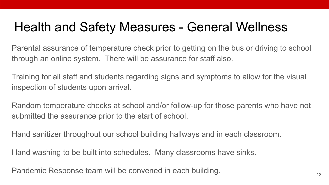#### Health and Safety Measures - General Wellness

Parental assurance of temperature check prior to getting on the bus or driving to school through an online system. There will be assurance for staff also.

Training for all staff and students regarding signs and symptoms to allow for the visual inspection of students upon arrival.

Random temperature checks at school and/or follow-up for those parents who have not submitted the assurance prior to the start of school.

Hand sanitizer throughout our school building hallways and in each classroom.

Hand washing to be built into schedules. Many classrooms have sinks.

Pandemic Response team will be convened in each building. The mannimous control of the mannimous control of the  $\frac{13}{13}$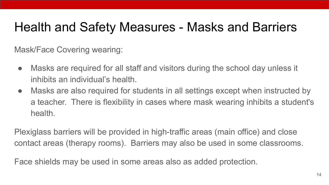#### Health and Safety Measures - Masks and Barriers

Mask/Face Covering wearing:

- Masks are required for all staff and visitors during the school day unless it inhibits an individual's health.
- Masks are also required for students in all settings except when instructed by a teacher. There is flexibility in cases where mask wearing inhibits a student's health.

Plexiglass barriers will be provided in high-traffic areas (main office) and close contact areas (therapy rooms). Barriers may also be used in some classrooms.

Face shields may be used in some areas also as added protection.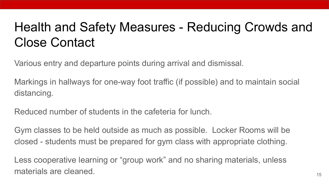## Health and Safety Measures - Reducing Crowds and Close Contact

Various entry and departure points during arrival and dismissal.

Markings in hallways for one-way foot traffic (if possible) and to maintain social distancing.

Reduced number of students in the cafeteria for lunch.

Gym classes to be held outside as much as possible. Locker Rooms will be closed - students must be prepared for gym class with appropriate clothing.

Less cooperative learning or "group work" and no sharing materials, unless materials are cleaned. The set of the set of the set of the set of the set of the set of the set of the set of the set of the set of the set of the set of the set of the set of the set of the set of the set of the set of t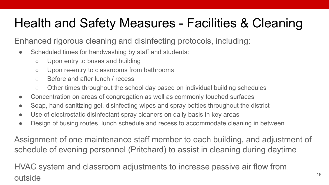## Health and Safety Measures - Facilities & Cleaning

Enhanced rigorous cleaning and disinfecting protocols, including:

- Scheduled times for handwashing by staff and students:
	- Upon entry to buses and building
	- Upon re-entry to classrooms from bathrooms
	- Before and after lunch / recess
	- Other times throughout the school day based on individual building schedules
- Concentration on areas of congregation as well as commonly touched surfaces
- Soap, hand sanitizing gel, disinfecting wipes and spray bottles throughout the district
- Use of electrostatic disinfectant spray cleaners on daily basis in key areas
- Design of busing routes, lunch schedule and recess to accommodate cleaning in between

Assignment of one maintenance staff member to each building, and adjustment of schedule of evening personnel (Pritchard) to assist in cleaning during daytime

HVAC system and classroom adjustments to increase passive air flow from outside and the set of the set of the set of the set of the set of the set of the set of the set of the set of the set of the set of the set of the set of the set of the set of the set of the set of the set of the set of t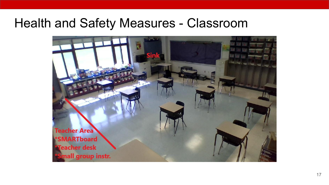#### Health and Safety Measures - Classroom

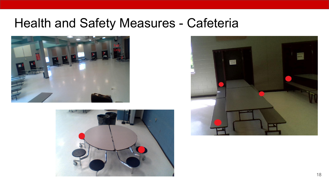#### Health and Safety Measures - Cafeteria





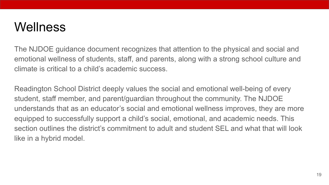#### **Wellness**

The NJDOE guidance document recognizes that attention to the physical and social and emotional wellness of students, staff, and parents, along with a strong school culture and climate is critical to a child's academic success.

Readington School District deeply values the social and emotional well-being of every student, staff member, and parent/guardian throughout the community. The NJDOE understands that as an educator's social and emotional wellness improves, they are more equipped to successfully support a child's social, emotional, and academic needs. This section outlines the district's commitment to adult and student SEL and what that will look like in a hybrid model.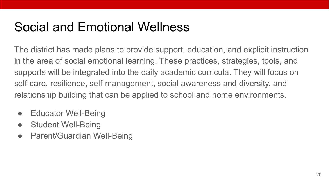#### Social and Emotional Wellness

The district has made plans to provide support, education, and explicit instruction in the area of social emotional learning. These practices, strategies, tools, and supports will be integrated into the daily academic curricula. They will focus on self-care, resilience, self-management, social awareness and diversity, and relationship building that can be applied to school and home environments.

- Educator Well-Being
- Student Well-Being
- Parent/Guardian Well-Being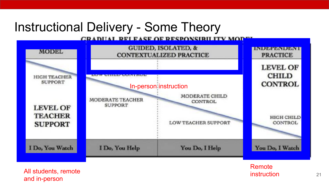#### Instructional Delivery - Some Theory

**CRADUAL RELEASE OF RESPONSIBILITY MOD** 



All students, remote and in-person

Remote **instruction** 21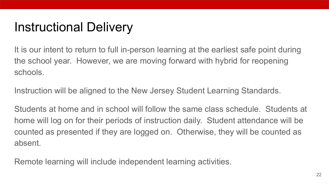#### Instructional Delivery

It is our intent to return to full in-person learning at the earliest safe point during the school year. However, we are moving forward with hybrid for reopening schools.

Instruction will be aligned to the New Jersey Student Learning Standards.

Students at home and in school will follow the same class schedule. Students at home will log on for their periods of instruction daily. Student attendance will be counted as presented if they are logged on. Otherwise, they will be counted as absent.

Remote learning will include independent learning activities.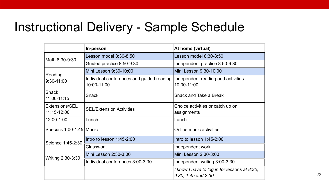#### Instructional Delivery - Sample Schedule

|                               | In-person                                                                                     | At home (virtual)                                                       |
|-------------------------------|-----------------------------------------------------------------------------------------------|-------------------------------------------------------------------------|
| Math 8:30-9:30                | Lesson model 8:30-8:50                                                                        | Lesson model 8:30-8:50                                                  |
|                               | Guided practice 8:50-9:30                                                                     | Independent practice 8:50-9:30                                          |
|                               | Mini Lesson 9:30-10:00                                                                        | Mini Lesson 9:30-10:00                                                  |
| Reading<br>9:30-11:00         | Individual conferences and guided reading   Independent reading and activities<br>10:00-11:00 | 10:00-11:00                                                             |
| Snack<br>11:00-11:15          | Snack                                                                                         | Snack and Take a Break                                                  |
| Extensions/SEL<br>11:15-12:00 | <b>SEL/Extension Activities</b>                                                               | Choice activities or catch up on<br>assignments                         |
| 12:00-1:00                    | Lunch                                                                                         | Lunch                                                                   |
| Specials 1:00-1:45   Music    |                                                                                               | Online music activities                                                 |
| Science 1:45-2:30             | Intro to lesson 1:45-2:00                                                                     | Intro to lesson 1:45-2:00                                               |
|                               | Classwork                                                                                     | Independent work                                                        |
| Writing 2:30-3:30             | Mini Lesson 2:30-3:00                                                                         | Mini Lesson 2:30-3:00                                                   |
|                               | Individual conferences 3:00-3:30                                                              | Independent writing 3:00-3:30                                           |
|                               |                                                                                               | I know I have to log in for lessons at 8:30,<br>$9:30, 1:45$ and $2:30$ |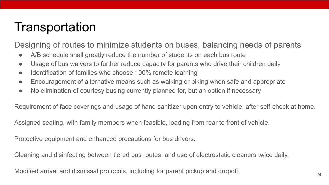#### Transportation

Designing of routes to minimize students on buses, balancing needs of parents

- A/B schedule shall greatly reduce the number of students on each bus route
- Usage of bus waivers to further reduce capacity for parents who drive their children daily
- Identification of families who choose 100% remote learning
- Encouragement of alternative means such as walking or biking when safe and appropriate
- No elimination of courtesy busing currently planned for, but an option if necessary

Requirement of face coverings and usage of hand sanitizer upon entry to vehicle, after self-check at home.

Assigned seating, with family members when feasible, loading from rear to front of vehicle.

Protective equipment and enhanced precautions for bus drivers.

Cleaning and disinfecting between tiered bus routes, and use of electrostatic cleaners twice daily.

Modified arrival and dismissal protocols, including for parent pickup and dropoff.  $_{24}$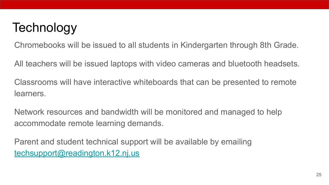#### **Technology**

Chromebooks will be issued to all students in Kindergarten through 8th Grade.

All teachers will be issued laptops with video cameras and bluetooth headsets.

Classrooms will have interactive whiteboards that can be presented to remote learners.

Network resources and bandwidth will be monitored and managed to help accommodate remote learning demands.

Parent and student technical support will be available by emailing [techsupport@readington.k12.nj.us](mailto:techsupport@readington.k12.nj.us)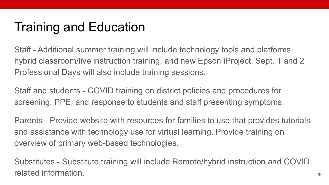#### Training and Education

Staff - Additional summer training will include technology tools and platforms, hybrid classroom/live instruction training, and new Epson iProject. Sept. 1 and 2 Professional Days will also include training sessions.

Staff and students - COVID training on district policies and procedures for screening, PPE, and response to students and staff presenting symptoms.

Parents - Provide website with resources for families to use that provides tutorials and assistance with technology use for virtual learning. Provide training on overview of primary web-based technologies.

Substitutes - Substitute training will include Remote/hybrid instruction and COVID related information.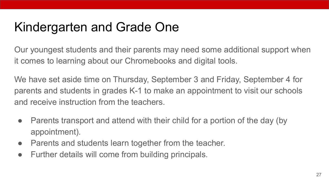#### Kindergarten and Grade One

Our youngest students and their parents may need some additional support when it comes to learning about our Chromebooks and digital tools.

We have set aside time on Thursday, September 3 and Friday, September 4 for parents and students in grades K-1 to make an appointment to visit our schools and receive instruction from the teachers.

- Parents transport and attend with their child for a portion of the day (by appointment).
- Parents and students learn together from the teacher.
- Further details will come from building principals.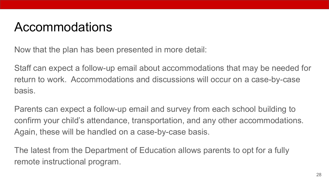#### Accommodations

Now that the plan has been presented in more detail:

Staff can expect a follow-up email about accommodations that may be needed for return to work. Accommodations and discussions will occur on a case-by-case basis.

Parents can expect a follow-up email and survey from each school building to confirm your child's attendance, transportation, and any other accommodations. Again, these will be handled on a case-by-case basis.

The latest from the Department of Education allows parents to opt for a fully remote instructional program.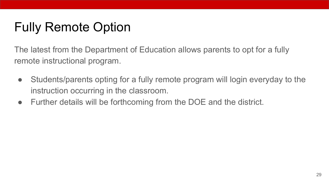### Fully Remote Option

The latest from the Department of Education allows parents to opt for a fully remote instructional program.

- Students/parents opting for a fully remote program will login everyday to the instruction occurring in the classroom.
- Further details will be forthcoming from the DOE and the district.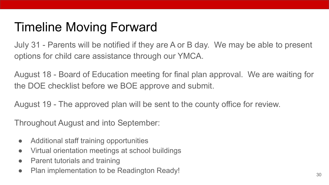#### Timeline Moving Forward

July 31 - Parents will be notified if they are A or B day. We may be able to present options for child care assistance through our YMCA.

August 18 - Board of Education meeting for final plan approval. We are waiting for the DOE checklist before we BOE approve and submit.

August 19 - The approved plan will be sent to the county office for review.

Throughout August and into September:

- Additional staff training opportunities
- Virtual orientation meetings at school buildings
- Parent tutorials and training
- Plan implementation to be Readington Ready! 30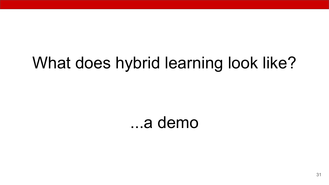# What does hybrid learning look like?

...a demo